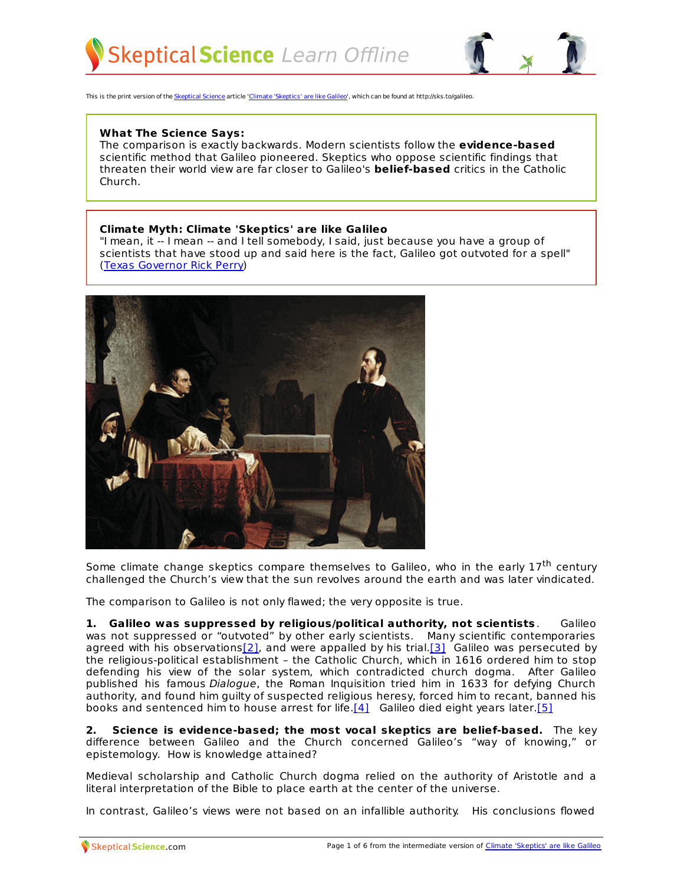



This is the print version of the [Skeptical](http://skepticalscience.com) Science article 'Climate ['Skeptics'](http://skepticalscience.com/climate-skeptics-are-like-galileo.htm) are like Galileo', which can be found at http://sks.to/galileo.

## **What The Science Says:**

The comparison is exactly backwards. Modern scientists follow the **evidence-based** scientific method that Galileo pioneered. Skeptics who oppose scientific findings that threaten their world view are far closer to Galileo's **belief-based** critics in the Catholic Church.

## **Climate Myth: Climate 'Skeptics' are like Galileo**

"I mean, it -- I mean -- and I tell somebody, I said, just because you have a group of scientists that have stood up and said here is the fact, Galileo got outvoted for a spell" (Texas [Governor](http://www.nytimes.com/2011/09/08/us/politics/08republican-debate-text.html?_r=1&pagewanted=all) Rick Perry)



Some climate change skeptics compare themselves to Galileo, who in the early 17<sup>th</sup> century challenged the Church's view that the sun revolves around the earth and was later vindicated.

The comparison to Galileo is not only flawed; the very opposite is true.

**1. Galileo was suppressed by religious/political authority, not scientists** . Galileo was not suppressed or "outvoted" by other early scientists. Many scientific contemporaries agreed with his observations $[2]$ , and were appalled by his trial. $[3]$  Galileo was persecuted by the religious-political establishment – the Catholic Church, which in 1616 ordered him to stop defending his view of the solar system, which contradicted church dogma. After Galileo published his famous Dialogue, the Roman Inquisition tried him in 1633 for defying Church authority, and found him guilty of suspected religious heresy, forced him to recant, banned his books and sentenced him to house arrest for life.[4] Galileo died eight years later.[5]

**2. Science is evidence-based; the most vocal skeptics are belief-based.** The key difference between Galileo and the Church concerned Galileo's "way of knowing," or epistemology. How is knowledge attained?

Medieval scholarship and Catholic Church dogma relied on the authority of Aristotle and a literal interpretation of the Bible to place earth at the center of the universe.

In [contrast,](http://skepticalscience.com) Galileo's views were not based on an infallible authority. His [conclusions](http://skepticalscience.com/climate-skeptics-are-like-galileo.htm) flowed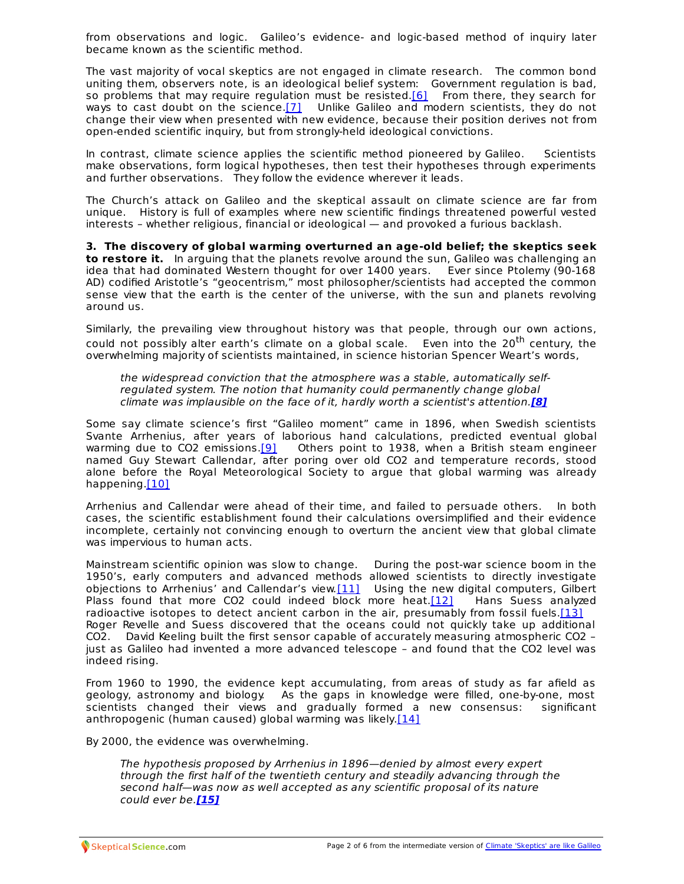from observations and logic. Galileo's evidence- and logic-based method of inquiry later became known as the scientific method.

The vast majority of vocal skeptics are not engaged in climate research. The common bond uniting them, observers note, is an ideological belief system: Government regulation is bad, so problems that may require regulation must be resisted. $[6]$  From there, they search for ways to cast doubt on the science.[7] Unlike Galileo and modern scientists, they do not change their view when presented with new evidence, because their position derives not from open-ended scientific inquiry, but from strongly-held ideological convictions.

In contrast, climate science applies the scientific method pioneered by Galileo. Scientists make observations, form logical hypotheses, then test their hypotheses through experiments and further observations. They follow the evidence wherever it leads.

The Church's attack on Galileo and the skeptical assault on climate science are far from unique. History is full of examples where new scientific findings threatened powerful vested interests – whether religious, financial or ideological — and provoked a furious backlash.

**3. The discovery of global warming overturned an age-old belief; the skeptics seek to restore it.** In arguing that the planets revolve around the sun, Galileo was challenging an idea that had dominated Western thought for over 1400 years. Ever since Ptolemy (90-168 AD) codified Aristotle's "geocentrism," most philosopher/scientists had accepted the common sense view that the earth is the center of the universe, with the sun and planets revolving around us.

Similarly, the prevailing view throughout history was that people, through our own actions, could not possibly alter earth's climate on a global scale. Even into the 20<sup>th</sup> century, the overwhelming majority of scientists maintained, in science historian Spencer Weart's words,

the widespread conviction that the atmosphere was a stable, automatically selfregulated system. The notion that humanity could permanently change global climate was implausible on the face of it, hardly worth a scientist's attention.**[8]**

Some say climate science's first "Galileo moment" came in 1896, when Swedish scientists Svante Arrhenius, after years of laborious hand calculations, predicted eventual global warming due to CO2 emissions. $[9]$  Others point to 1938, when a British steam engineer named Guy Stewart Callendar, after poring over old CO2 and temperature records, stood alone before the Royal Meteorological Society to argue that global warming was already happening.[10]

Arrhenius and Callendar were ahead of their time, and failed to persuade others. In both cases, the scientific establishment found their calculations oversimplified and their evidence incomplete, certainly not convincing enough to overturn the ancient view that global climate was impervious to human acts.

Mainstream scientific opinion was slow to change. During the post-war science boom in the 1950's, early computers and advanced methods allowed scientists to directly investigate objections to Arrhenius' and Callendar's view.[11] Using the new digital computers, Gilbert Plass found that more CO2 could indeed block more heat.[12] Hans Suess analyzed radioactive isotopes to detect ancient carbon in the air, presumably from fossil fuels. $[13]$ Roger Revelle and Suess discovered that the oceans could not quickly take up additional CO2. David Keeling built the first sensor capable of accurately measuring atmospheric CO2 – just as Galileo had invented a more advanced telescope – and found that the CO2 level was indeed rising.

From 1960 to 1990, the evidence kept accumulating, from areas of study as far afield as geology, astronomy and biology. As the gaps in knowledge were filled, one-by-one, most scientists changed their views and gradually formed a new consensus: significant anthropogenic (human caused) global warming was likely.[14]

By 2000, the evidence was overwhelming.

The hypothesis proposed by Arrhenius in 1896—denied by almost every expert through the first half of the twentieth century and steadily advancing through the second half—was now as well accepted as any scientific proposal of its nature could ever be.**[15]**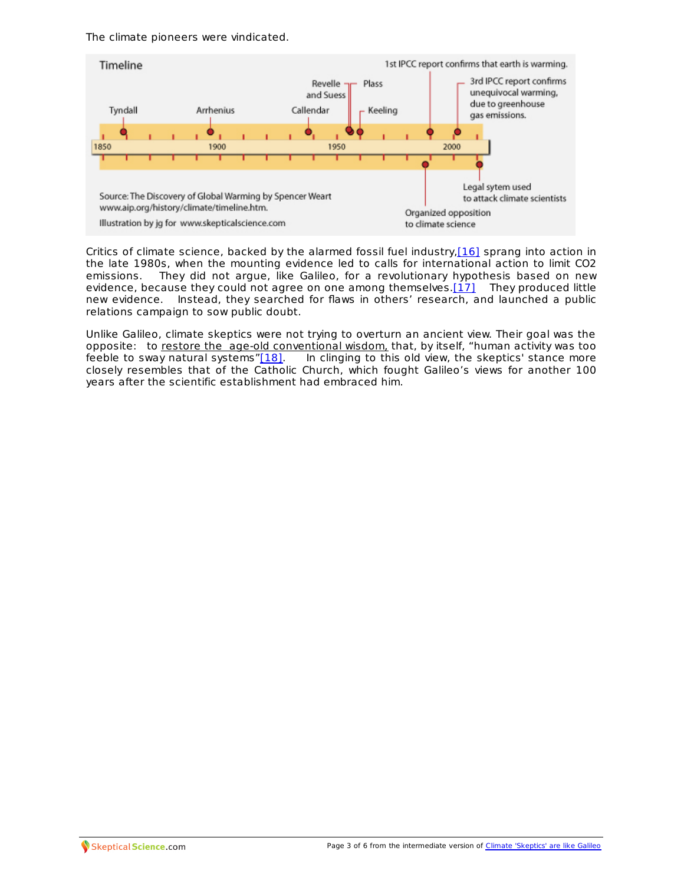The climate pioneers were vindicated.



Critics of climate science, backed by the alarmed fossil fuel industry,[16] sprang into action in the late 1980s, when the mounting evidence led to calls for international action to limit CO2 emissions. They did not argue, like Galileo, for a revolutionary hypothesis based on new evidence, because they could not agree on one among themselves. $[17]$  They produced little new evidence. Instead, they searched for flaws in others' research, and launched a public relations campaign to sow public doubt.

Unlike Galileo, climate skeptics were not trying to overturn an ancient view. Their goal was the opposite: to restore the age-old conventional wisdom, that, by itself, "human activity was too feeble to sway natural systems"[18]. In clinging to this old view, the skeptics' stance more In clinging to this old view, the skeptics' stance more closely resembles that of the Catholic Church, which fought Galileo's views for another 100 years after the scientific establishment had embraced him.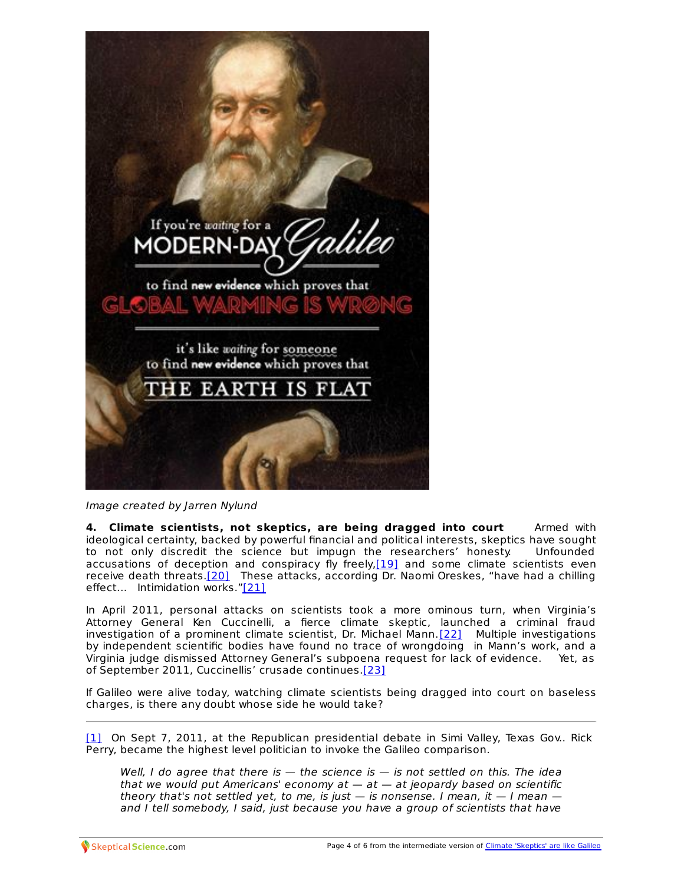

Image created by Jarren Nylund

**4. Climate scientists, not skeptics, are being dragged into court** Armed with ideological certainty, backed by powerful financial and political interests, skeptics have sought to not only discredit the science but impugn the researchers' honesty. Unfounded accusations of deception and conspiracy fly freely, [19] and some climate scientists even receive death threats.[20] These attacks, according Dr. Naomi Oreskes, "have had a chilling effect... Intimidation works."[21]

In April 2011, personal attacks on scientists took a more ominous turn, when Virginia's Attorney General Ken Cuccinelli, a fierce climate skeptic, launched a criminal fraud investigation of a prominent climate scientist, Dr. Michael Mann.[22] Multiple investigations by independent scientific bodies have found no trace of wrongdoing in Mann's work, and a Virginia judge dismissed Attorney General's subpoena request for lack of evidence. Yet, as of September 2011, Cuccinellis' crusade continues.[23]

If Galileo were alive today, watching climate scientists being dragged into court on baseless charges, is there any doubt whose side he would take?

[1] On Sept 7, 2011, at the Republican presidential debate in Simi Valley, Texas Gov.. Rick Perry, became the highest level politician to invoke the Galileo comparison.

Well, I do agree that there is  $-$  the science is  $-$  is not settled on this. The idea that we would put Americans' economy  $at - at - at$  jeopardy based on scientific theory that's not settled yet, to me, is just  $-$  is nonsense. I mean, it  $-$  I mean  $$ and I tell somebody, I said, just because you have a group of scientists that [have](http://skepticalscience.com/climate-skeptics-are-like-galileo.htm)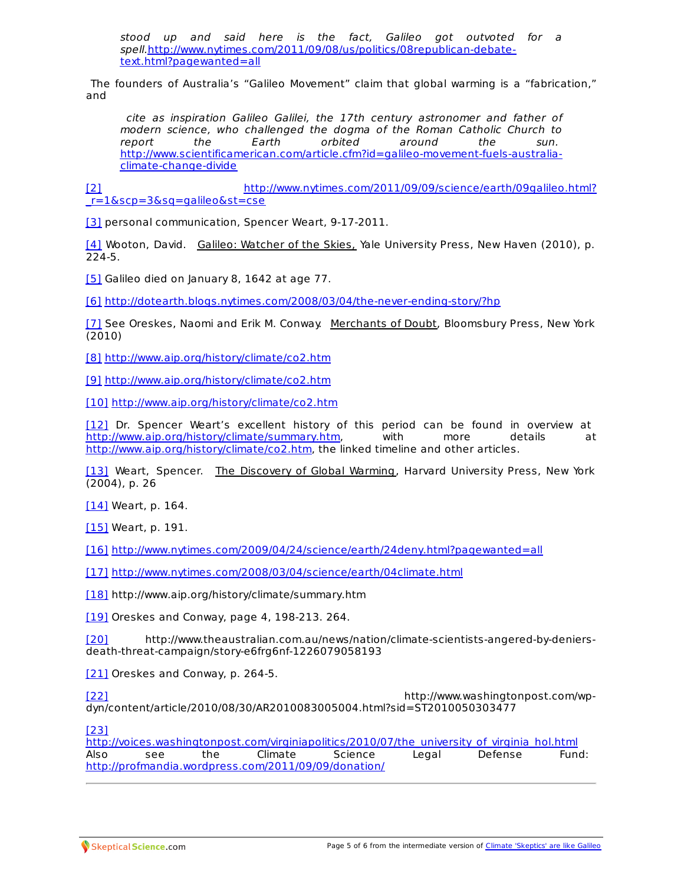stood up and said here is the fact, Galileo got outvoted for a spell.[http://www.nytimes.com/2011/09/08/us/politics/08republican-debate](http://www.nytimes.com/2011/09/08/us/politics/08republican-debate-text.html?pagewanted=all)text.html?pagewanted=all

The founders of Australia's "Galileo Movement" claim that global warming is a "fabrication," and

cite as inspiration Galileo Galilei, the 17th century astronomer and father of modern science, who challenged the dogma of the Roman Catholic Church to<br>report the the Farth orbited around the sun. report the Earth orbited around the sun. [http://www.scientificamerican.com/article.cfm?id=galileo-movement-fuels-australia](http://www.scientificamerican.com/article.cfm?id=galileo-movement-fuels-australia-climate-change-divide)climate-change-divide

[2] [http://www.nytimes.com/2011/09/09/science/earth/09galileo.html?](http://www.nytimes.com/2011/09/09/science/earth/09galileo.html?_r=1&scp=3&sq=galileo&st=cse) \_r=1&scp=3&sq=galileo&st=cse

[3] personal communication, Spencer Weart, 9-17-2011.

[4] Wooton, David. Galileo: Watcher of the Skies, Yale University Press, New Haven (2010), p. 224-5.

[5] Galileo died on January 8, 1642 at age 77.

[6] <http://dotearth.blogs.nytimes.com/2008/03/04/the-never-ending-story/?hp>

[7] See Oreskes, Naomi and Erik M. Conway. Merchants of Doubt, Bloomsbury Press, New York (2010)

[8] <http://www.aip.org/history/climate/co2.htm>

[9] <http://www.aip.org/history/climate/co2.htm>

[10] <http://www.aip.org/history/climate/co2.htm>

[12] Dr. Spencer Weart's excellent history of this period can be found in overview at <http://www.aip.org/history/climate/summary.htm>, with more details at <http://www.aip.org/history/climate/co2.htm>, the linked timeline and other articles.

[13] Weart, Spencer. The Discovery of Global Warming, Harvard University Press, New York (2004), p. 26

[14] Weart, p. 164.

[15] Weart, p. 191.

[16] <http://www.nytimes.com/2009/04/24/science/earth/24deny.html?pagewanted=all>

[17] <http://www.nytimes.com/2008/03/04/science/earth/04climate.html>

[18] http://www.aip.org/history/climate/summary.htm

[19] Oreskes and Conway, page 4, 198-213. 264.

[20] http://www.theaustralian.com.au/news/nation/climate-scientists-angered-by-deniersdeath-threat-campaign/story-e6frg6nf-1226079058193

[21] Oreskes and Conway, p. 264-5.

[22] http://www.washingtonpost.com/wpdyn/content/article/2010/08/30/AR2010083005004.html?sid=ST2010050303477

[23]

[http://voices.washingtonpost.com/virginiapolitics/2010/07/the\\_university\\_of\\_virginia\\_hol.html](http://voices.washingtonpost.com/virginiapolitics/2010/07/the_university_of_virginia_hol.html) Also see the Climate Science Legal Defense Fund: <http://profmandia.wordpress.com/2011/09/09/donation/>